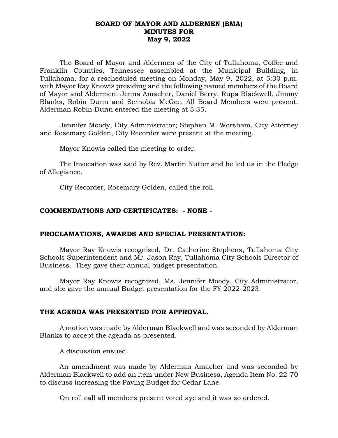### **BOARD OF MAYOR AND ALDERMEN (BMA) MINUTES FOR May 9, 2022**

The Board of Mayor and Aldermen of the City of Tullahoma, Coffee and Franklin Counties, Tennessee assembled at the Municipal Building, in Tullahoma, for a rescheduled meeting on Monday, May 9, 2022, at 5:30 p.m. with Mayor Ray Knowis presiding and the following named members of the Board of Mayor and Aldermen: Jenna Amacher, Daniel Berry, Rupa Blackwell, Jimmy Blanks, Robin Dunn and Sernobia McGee. All Board Members were present. Alderman Robin Dunn entered the meeting at 5:35.

Jennifer Moody, City Administrator; Stephen M. Worsham, City Attorney and Rosemary Golden, City Recorder were present at the meeting.

Mayor Knowis called the meeting to order.

The Invocation was said by Rev. Martin Nutter and he led us in the Pledge of Allegiance.

City Recorder, Rosemary Golden, called the roll.

# **COMMENDATIONS AND CERTIFICATES: - NONE -**

# **PROCLAMATIONS, AWARDS AND SPECIAL PRESENTATION:**

Mayor Ray Knowis recognized, Dr. Catherine Stephens, Tullahoma City Schools Superintendent and Mr. Jason Ray, Tullahoma City Schools Director of Business. They gave their annual budget presentation.

Mayor Ray Knowis recognized, Ms. Jennifer Moody, City Administrator, and she gave the annual Budget presentation for the FY 2022-2023.

#### **THE AGENDA WAS PRESENTED FOR APPROVAL.**

A motion was made by Alderman Blackwell and was seconded by Alderman Blanks to accept the agenda as presented.

A discussion ensued.

An amendment was made by Alderman Amacher and was seconded by Alderman Blackwell to add an item under New Business, Agenda Item No. 22-70 to discuss increasing the Paving Budget for Cedar Lane.

On roll call all members present voted aye and it was so ordered.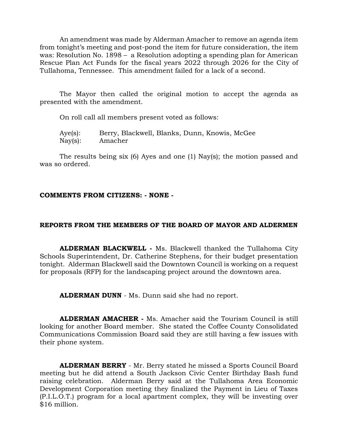An amendment was made by Alderman Amacher to remove an agenda item from tonight's meeting and post-pond the item for future consideration, the item was: Resolution No. 1898 – a Resolution adopting a spending plan for American Rescue Plan Act Funds for the fiscal years 2022 through 2026 for the City of Tullahoma, Tennessee. This amendment failed for a lack of a second.

The Mayor then called the original motion to accept the agenda as presented with the amendment.

On roll call all members present voted as follows:

Aye(s): Berry, Blackwell, Blanks, Dunn, Knowis, McGee Nay(s): Amacher

The results being six (6) Ayes and one (1) Nay(s); the motion passed and was so ordered.

# **COMMENTS FROM CITIZENS: - NONE -**

# **REPORTS FROM THE MEMBERS OF THE BOARD OF MAYOR AND ALDERMEN**

**ALDERMAN BLACKWELL -** Ms. Blackwell thanked the Tullahoma City Schools Superintendent, Dr. Catherine Stephens, for their budget presentation tonight. Alderman Blackwell said the Downtown Council is working on a request for proposals (RFP) for the landscaping project around the downtown area.

**ALDERMAN DUNN** - Ms. Dunn said she had no report.

**ALDERMAN AMACHER -** Ms. Amacher said the Tourism Council is still looking for another Board member. She stated the Coffee County Consolidated Communications Commission Board said they are still having a few issues with their phone system.

**ALDERMAN BERRY** - Mr. Berry stated he missed a Sports Council Board meeting but he did attend a South Jackson Civic Center Birthday Bash fund raising celebration. Alderman Berry said at the Tullahoma Area Economic Development Corporation meeting they finalized the Payment in Lieu of Taxes (P.I.L.O.T.) program for a local apartment complex, they will be investing over \$16 million.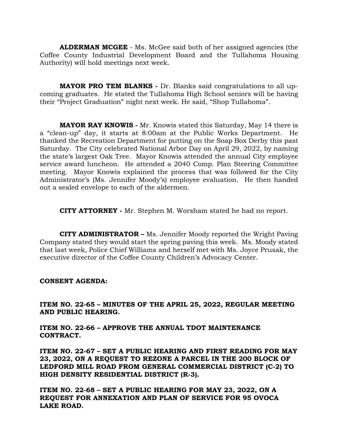**ALDERMAN MCGEE** - Ms. McGee said both of her assigned agencies (the Coffee County Industrial Development Board and the Tullahoma Housing Authority) will hold meetings next week.

**MAYOR PRO TEM BLANKS -** Dr. Blanks said congratulations to all upcoming graduates. He stated the Tullahoma High School seniors will be having their "Project Graduation" night next week. He said, "Shop Tullahoma".

**MAYOR RAY KNOWIS -** Mr. Knowis stated this Saturday, May 14 there is a "clean-up" day, it starts at 8:00am at the Public Works Department. He thanked the Recreation Department for putting on the Soap Box Derby this past Saturday. The City celebrated National Arbor Day on April 29, 2022, by naming the state's largest Oak Tree. Mayor Knowis attended the annual City employee service award luncheon. He attended a 2040 Comp. Plan Steering Committee meeting. Mayor Knowis explained the process that was followed for the City Administrator's (Ms. Jennifer Moody's) employee evaluation. He then handed out a sealed envelope to each of the aldermen.

**CITY ATTORNEY -** Mr. Stephen M. Worsham stated he had no report.

**CITY ADMINISTRATOR –** Ms. Jennifer Moody reported the Wright Paving Company stated they would start the spring paving this week. Ms. Moody stated that last week, Police Chief Williams and herself met with Ms. Joyce Prusak, the executive director of the Coffee County Children's Advocacy Center.

#### **CONSENT AGENDA:**

**ITEM NO. 22-65 – MINUTES OF THE APRIL 25, 2022, REGULAR MEETING AND PUBLIC HEARING.**

**ITEM NO. 22-66 – APPROVE THE ANNUAL TDOT MAINTENANCE CONTRACT.**

**ITEM NO. 22-67 – SET A PUBLIC HEARING AND FIRST READING FOR MAY 23, 2022, ON A REQUEST TO REZONE A PARCEL IN THE 200 BLOCK OF LEDFORD MILL ROAD FROM GENERAL COMMERCIAL DISTRICT (C-2) TO HIGH DENSITY RESIDENTIAL DISTRICT (R-3).**

**ITEM NO. 22-68 – SET A PUBLIC HEARING FOR MAY 23, 2022, ON A REQUEST FOR ANNEXATION AND PLAN OF SERVICE FOR 95 OVOCA LAKE ROAD.**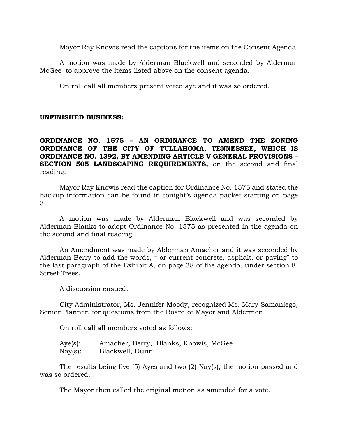Mayor Ray Knowis read the captions for the items on the Consent Agenda.

A motion was made by Alderman Blackwell and seconded by Alderman McGee to approve the items listed above on the consent agenda.

On roll call all members present voted aye and it was so ordered.

### **UNFINISHED BUSINESS:**

**ORDINANCE NO. 1575 – AN ORDINANCE TO AMEND THE ZONING ORDINANCE OF THE CITY OF TULLAHOMA, TENNESSEE, WHICH IS ORDINANCE NO. 1392, BY AMENDING ARTICLE V GENERAL PROVISIONS – SECTION 505 LANDSCAPING REQUIREMENTS,** on the second and final reading.

Mayor Ray Knowis read the caption for Ordinance No. 1575 and stated the backup information can be found in tonight's agenda packet starting on page 31.

A motion was made by Alderman Blackwell and was seconded by Alderman Blanks to adopt Ordinance No. 1575 as presented in the agenda on the second and final reading.

An Amendment was made by Alderman Amacher and it was seconded by Alderman Berry to add the words, " or current concrete, asphalt, or paving" to the last paragraph of the Exhibit A, on page 38 of the agenda, under section 8. Street Trees.

A discussion ensued.

City Administrator, Ms. Jennifer Moody, recognized Ms. Mary Samaniego, Senior Planner, for questions from the Board of Mayor and Aldermen.

On roll call all members voted as follows:

| $Aye(s)$ :        | Amacher, Berry, Blanks, Knowis, McGee |  |  |
|-------------------|---------------------------------------|--|--|
| $\text{Nay}(s)$ : | Blackwell, Dunn                       |  |  |

The results being five (5) Ayes and two (2) Nay(s), the motion passed and was so ordered.

The Mayor then called the original motion as amended for a vote.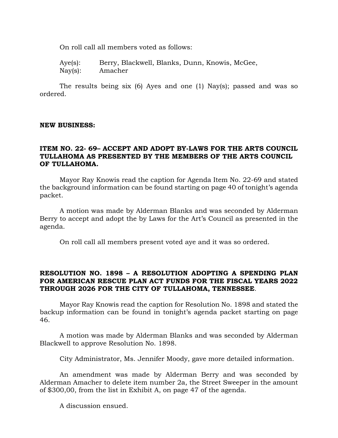On roll call all members voted as follows:

Aye(s): Berry, Blackwell, Blanks, Dunn, Knowis, McGee, Nay(s): Amacher

The results being six (6) Ayes and one (1) Nay(s); passed and was so ordered.

### **NEW BUSINESS:**

### **ITEM NO. 22- 69– ACCEPT AND ADOPT BY-LAWS FOR THE ARTS COUNCIL TULLAHOMA AS PRESENTED BY THE MEMBERS OF THE ARTS COUNCIL OF TULLAHOMA.**

Mayor Ray Knowis read the caption for Agenda Item No. 22-69 and stated the background information can be found starting on page 40 of tonight's agenda packet.

A motion was made by Alderman Blanks and was seconded by Alderman Berry to accept and adopt the by Laws for the Art's Council as presented in the agenda.

On roll call all members present voted aye and it was so ordered.

# **RESOLUTION NO. 1898 – A RESOLUTION ADOPTING A SPENDING PLAN FOR AMERICAN RESCUE PLAN ACT FUNDS FOR THE FISCAL YEARS 2022 THROUGH 2026 FOR THE CITY OF TULLAHOMA, TENNESSEE**.

Mayor Ray Knowis read the caption for Resolution No. 1898 and stated the backup information can be found in tonight's agenda packet starting on page 46.

A motion was made by Alderman Blanks and was seconded by Alderman Blackwell to approve Resolution No. 1898.

City Administrator, Ms. Jennifer Moody, gave more detailed information.

An amendment was made by Alderman Berry and was seconded by Alderman Amacher to delete item number 2a, the Street Sweeper in the amount of \$300,00, from the list in Exhibit A, on page 47 of the agenda.

A discussion ensued.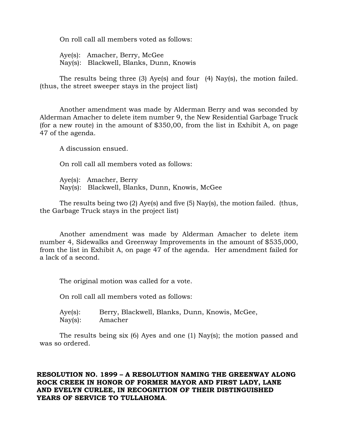On roll call all members voted as follows:

Aye(s): Amacher, Berry, McGee Nay(s): Blackwell, Blanks, Dunn, Knowis

The results being three (3) Aye(s) and four (4) Nay(s), the motion failed. (thus, the street sweeper stays in the project list)

Another amendment was made by Alderman Berry and was seconded by Alderman Amacher to delete item number 9, the New Residential Garbage Truck (for a new route) in the amount of \$350,00, from the list in Exhibit A, on page 47 of the agenda.

A discussion ensued.

On roll call all members voted as follows:

Aye(s): Amacher, Berry Nay(s): Blackwell, Blanks, Dunn, Knowis, McGee

The results being two (2) Aye(s) and five (5) Nay(s), the motion failed. (thus, the Garbage Truck stays in the project list)

Another amendment was made by Alderman Amacher to delete item number 4, Sidewalks and Greenway Improvements in the amount of \$535,000, from the list in Exhibit A, on page 47 of the agenda. Her amendment failed for a lack of a second.

The original motion was called for a vote.

On roll call all members voted as follows:

Aye(s): Berry, Blackwell, Blanks, Dunn, Knowis, McGee, Nay(s): Amacher

The results being six (6) Ayes and one (1) Nay(s); the motion passed and was so ordered.

# **RESOLUTION NO. 1899 – A RESOLUTION NAMING THE GREENWAY ALONG ROCK CREEK IN HONOR OF FORMER MAYOR AND FIRST LADY, LANE AND EVELYN CURLEE, IN RECOGNITION OF THEIR DISTINGUISHED YEARS OF SERVICE TO TULLAHOMA**.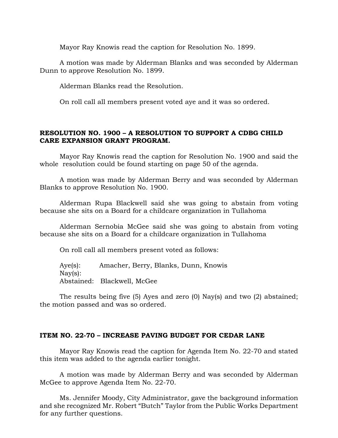Mayor Ray Knowis read the caption for Resolution No. 1899.

A motion was made by Alderman Blanks and was seconded by Alderman Dunn to approve Resolution No. 1899.

Alderman Blanks read the Resolution.

On roll call all members present voted aye and it was so ordered.

# **RESOLUTION NO. 1900 – A RESOLUTION TO SUPPORT A CDBG CHILD CARE EXPANSION GRANT PROGRAM.**

Mayor Ray Knowis read the caption for Resolution No. 1900 and said the whole resolution could be found starting on page 50 of the agenda.

A motion was made by Alderman Berry and was seconded by Alderman Blanks to approve Resolution No. 1900.

Alderman Rupa Blackwell said she was going to abstain from voting because she sits on a Board for a childcare organization in Tullahoma

Alderman Sernobia McGee said she was going to abstain from voting because she sits on a Board for a childcare organization in Tullahoma

On roll call all members present voted as follows:

Aye(s): Amacher, Berry, Blanks, Dunn, Knowis Nay(s): Abstained: Blackwell, McGee

The results being five (5) Ayes and zero (0) Nay(s) and two (2) abstained; the motion passed and was so ordered.

#### **ITEM NO. 22-70 – INCREASE PAVING BUDGET FOR CEDAR LANE**

Mayor Ray Knowis read the caption for Agenda Item No. 22-70 and stated this item was added to the agenda earlier tonight.

A motion was made by Alderman Berry and was seconded by Alderman McGee to approve Agenda Item No. 22-70.

Ms. Jennifer Moody, City Administrator, gave the background information and she recognized Mr. Robert "Butch" Taylor from the Public Works Department for any further questions.